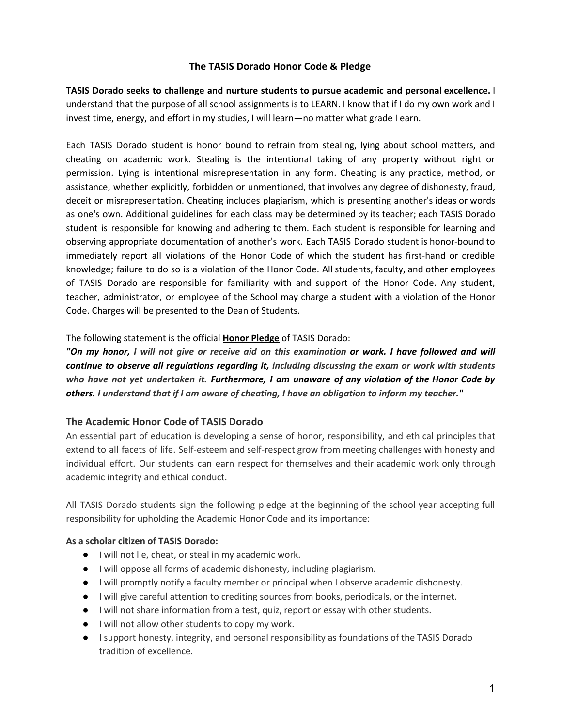## **The TASIS Dorado Honor Code & Pledge**

**TASIS Dorado seeks to challenge and nurture students to pursue academic and personal excellence.** I understand that the purpose of all school assignments is to LEARN. I know that if I do my own work and I invest time, energy, and effort in my studies, I will learn—no matter what grade I earn.

Each TASIS Dorado student is honor bound to refrain from stealing, lying about school matters, and cheating on academic work. Stealing is the intentional taking of any property without right or permission. Lying is intentional misrepresentation in any form. Cheating is any practice, method, or assistance, whether explicitly, forbidden or unmentioned, that involves any degree of dishonesty, fraud, deceit or misrepresentation. Cheating includes plagiarism, which is presenting another's ideas or words as one's own. Additional guidelines for each class may be determined by its teacher; each TASIS Dorado student is responsible for knowing and adhering to them. Each student is responsible for learning and observing appropriate documentation of another's work. Each TASIS Dorado student is honor-bound to immediately report all violations of the Honor Code of which the student has first-hand or credible knowledge; failure to do so is a violation of the Honor Code. All students, faculty, and other employees of TASIS Dorado are responsible for familiarity with and support of the Honor Code. Any student, teacher, administrator, or employee of the School may charge a student with a violation of the Honor Code. Charges will be presented to the Dean of Students.

The following statement is the official **Honor Pledge** of TASIS Dorado:

"On my honor, I will not give or receive aid on this examination or work. I have followed and will *continue to observe all regulations regarding it, including discussing the exam or work with students who have not yet undertaken it. Furthermore, I am unaware of any violation of the Honor Code by* others. I understand that if I am aware of cheating, I have an obligation to inform my teacher."

# **The Academic Honor Code of TASIS Dorado**

An essential part of education is developing a sense of honor, responsibility, and ethical principles that extend to all facets of life. Self-esteem and self-respect grow from meeting challenges with honesty and individual effort. Our students can earn respect for themselves and their academic work only through academic integrity and ethical conduct.

All TASIS Dorado students sign the following pledge at the beginning of the school year accepting full responsibility for upholding the Academic Honor Code and its importance:

## **As a scholar citizen of TASIS Dorado:**

- I will not lie, cheat, or steal in my academic work.
- I will oppose all forms of academic dishonesty, including plagiarism.
- I will promptly notify a faculty member or principal when I observe academic dishonesty.
- I will give careful attention to crediting sources from books, periodicals, or the internet.
- I will not share information from a test, quiz, report or essay with other students.
- I will not allow other students to copy my work.
- I support honesty, integrity, and personal responsibility as foundations of the TASIS Dorado tradition of excellence.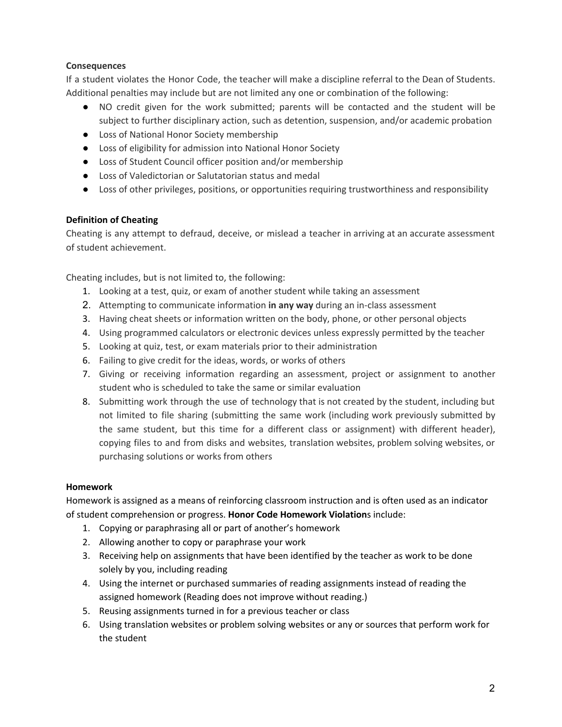## **Consequences**

If a student violates the Honor Code, the teacher will make a discipline referral to the Dean of Students. Additional penalties may include but are not limited any one or combination of the following:

- NO credit given for the work submitted; parents will be contacted and the student will be subject to further disciplinary action, such as detention, suspension, and/or academic probation
- Loss of National Honor Society membership
- Loss of eligibility for admission into National Honor Society
- Loss of Student Council officer position and/or membership
- Loss of Valedictorian or Salutatorian status and medal
- Loss of other privileges, positions, or opportunities requiring trustworthiness and responsibility

# **Definition of Cheating**

Cheating is any attempt to defraud, deceive, or mislead a teacher in arriving at an accurate assessment of student achievement.

Cheating includes, but is not limited to, the following:

- 1. Looking at a test, quiz, or exam of another student while taking an assessment
- 2. Attempting to communicate information **in any way** during an in-class assessment
- 3. Having cheat sheets or information written on the body, phone, or other personal objects
- 4. Using programmed calculators or electronic devices unless expressly permitted by the teacher
- 5. Looking at quiz, test, or exam materials prior to their administration
- 6. Failing to give credit for the ideas, words, or works of others
- 7. Giving or receiving information regarding an assessment, project or assignment to another student who is scheduled to take the same or similar evaluation
- 8. Submitting work through the use of technology that is not created by the student, including but not limited to file sharing (submitting the same work (including work previously submitted by the same student, but this time for a different class or assignment) with different header), copying files to and from disks and websites, translation websites, problem solving websites, or purchasing solutions or works from others

## **Homework**

Homework is assigned as a means of reinforcing classroom instruction and is often used as an indicator of student comprehension or progress. **Honor Code Homework Violation**s include:

- 1. Copying or paraphrasing all or part of another's homework
- 2. Allowing another to copy or paraphrase your work
- 3. Receiving help on assignments that have been identified by the teacher as work to be done solely by you, including reading
- 4. Using the internet or purchased summaries of reading assignments instead of reading the assigned homework (Reading does not improve without reading.)
- 5. Reusing assignments turned in for a previous teacher or class
- 6. Using translation websites or problem solving websites or any or sources that perform work for the student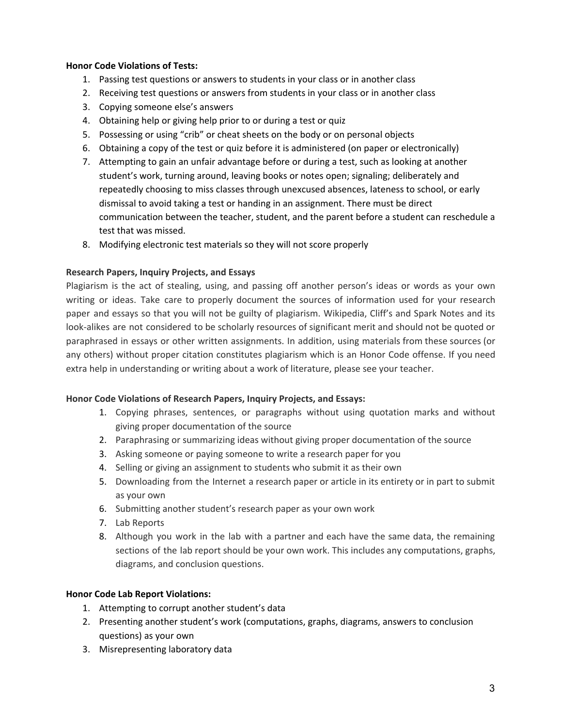## **Honor Code Violations of Tests:**

- 1. Passing test questions or answers to students in your class or in another class
- 2. Receiving test questions or answers from students in your class or in another class
- 3. Copying someone else's answers
- 4. Obtaining help or giving help prior to or during a test or quiz
- 5. Possessing or using "crib" or cheat sheets on the body or on personal objects
- 6. Obtaining a copy of the test or quiz before it is administered (on paper or electronically)
- 7. Attempting to gain an unfair advantage before or during a test, such as looking at another student's work, turning around, leaving books or notes open; signaling; deliberately and repeatedly choosing to miss classes through unexcused absences, lateness to school, or early dismissal to avoid taking a test or handing in an assignment. There must be direct communication between the teacher, student, and the parent before a student can reschedule a test that was missed.
- 8. Modifying electronic test materials so they will not score properly

## **Research Papers, Inquiry Projects, and Essays**

Plagiarism is the act of stealing, using, and passing off another person's ideas or words as your own writing or ideas. Take care to properly document the sources of information used for your research paper and essays so that you will not be guilty of plagiarism. Wikipedia, Cliff's and Spark Notes and its look-alikes are not considered to be scholarly resources of significant merit and should not be quoted or paraphrased in essays or other written assignments. In addition, using materials from these sources (or any others) without proper citation constitutes plagiarism which is an Honor Code offense. If you need extra help in understanding or writing about a work of literature, please see your teacher.

## **Honor Code Violations of Research Papers, Inquiry Projects, and Essays:**

- 1. Copying phrases, sentences, or paragraphs without using quotation marks and without giving proper documentation of the source
- 2. Paraphrasing or summarizing ideas without giving proper documentation of the source
- 3. Asking someone or paying someone to write a research paper for you
- 4. Selling or giving an assignment to students who submit it as their own
- 5. Downloading from the Internet a research paper or article in its entirety or in part to submit as your own
- 6. Submitting another student's research paper as your own work
- 7. Lab Reports
- 8. Although you work in the lab with a partner and each have the same data, the remaining sections of the lab report should be your own work. This includes any computations, graphs, diagrams, and conclusion questions.

## **Honor Code Lab Report Violations:**

- 1. Attempting to corrupt another student's data
- 2. Presenting another student's work (computations, graphs, diagrams, answers to conclusion questions) as your own
- 3. Misrepresenting laboratory data